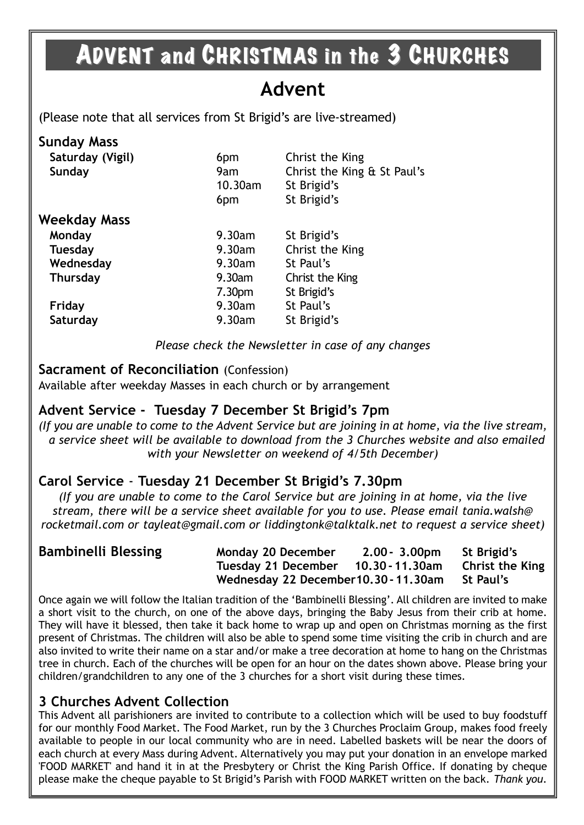## ADVENT and CHRISTMAS in the 3 CHURCHES

## **Advent**

(Please note that all services from St Brigid's are live-streamed)

#### **Sunday Mass**

| Saturday (Vigil)<br>Sunday | 6pm<br>9am<br>10.30am<br>6pm | Christ the King<br>Christ the King & St Paul's<br>St Brigid's<br>St Brigid's |
|----------------------------|------------------------------|------------------------------------------------------------------------------|
| Weekday Mass               |                              |                                                                              |
| Monday                     | 9.30am                       | St Brigid's                                                                  |
| <b>Tuesday</b>             | 9.30am                       | Christ the King                                                              |
| Wednesday                  | 9.30am                       | St Paul's                                                                    |
| <b>Thursday</b>            | 9.30am                       | Christ the King                                                              |
|                            | 7.30 <sub>pm</sub>           | St Brigid's                                                                  |
| Friday                     | 9.30am                       | St Paul's                                                                    |
| Saturday                   | 9.30am                       | St Brigid's                                                                  |

*Please check the Newsletter in case of any changes*

#### **Sacrament of Reconciliation** (Confession)

Available after weekday Masses in each church or by arrangement

#### **Advent Service - Tuesday 7 December St Brigid's 7pm**

*(If you are unable to come to the Advent Service but are joining in at home, via the live stream, a service sheet will be available to download from the 3 Churches website and also emailed with your Newsletter on weekend of 4/5th December)*

#### **Carol Service** - **Tuesday 21 December St Brigid's 7.30pm**

*(If you are unable to come to the Carol Service but are joining in at home, via the live stream, there will be a service sheet available for you to use. Please email tania.walsh@ rocketmail.com or tayleat@gmail.com or liddingtonk@talktalk.net to request a service sheet)*

| <b>Bambinelli Blessing</b> | <b>Monday 20 December</b>                           | 2.00 - 3.00pm St Brigid's |  |
|----------------------------|-----------------------------------------------------|---------------------------|--|
|                            | Tuesday 21 December 10.30 - 11.30am Christ the King |                           |  |
|                            | Wednesday 22 December 10.30 - 11.30am St Paul's     |                           |  |

Once again we will follow the Italian tradition of the 'Bambinelli Blessing'. All children are invited to make a short visit to the church, on one of the above days, bringing the Baby Jesus from their crib at home. They will have it blessed, then take it back home to wrap up and open on Christmas morning as the first present of Christmas. The children will also be able to spend some time visiting the crib in church and are also invited to write their name on a star and/or make a tree decoration at home to hang on the Christmas tree in church. Each of the churches will be open for an hour on the dates shown above. Please bring your children/grandchildren to any one of the 3 churches for a short visit during these times.

#### **3 Churches Advent Collection**

This Advent all parishioners are invited to contribute to a collection which will be used to buy foodstuff for our monthly Food Market. The Food Market, run by the 3 Churches Proclaim Group, makes food freely available to people in our local community who are in need. Labelled baskets will be near the doors of each church at every Mass during Advent. Alternatively you may put your donation in an envelope marked 'FOOD MARKET' and hand it in at the Presbytery or Christ the King Parish Office. If donating by cheque please make the cheque payable to St Brigid's Parish with FOOD MARKET written on the back. *Thank you.*